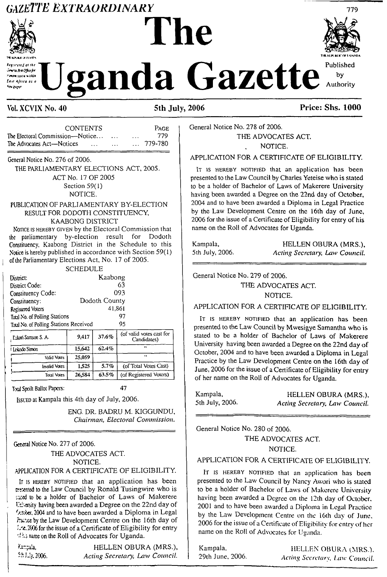# **GAZETTE EXTRAORDINARY**





# zanda Gazette



# Vol. XCVIX No. 40

### 5th July, 2006

# **Price: Shs. 1000**

|                                 | <b>CONTENTS</b> |          |   | <b>PAGE</b> |
|---------------------------------|-----------------|----------|---|-------------|
| The Electoral Commission—Notice |                 |          | . | 779.        |
| The Advocates Act—Notices       | $\cdots$        | $\cdots$ |   | 779-780     |

General Notice No. 276 of 2006.

THE PARLIAMENTARY ELECTIONS ACT, 2005. ACT No. 17 OF 2005 Section 59(1)

NOTICE.

# PUBLICATION OF PARLIAMENTARY BY-ELECTION RESULT FOR DODOTH CONSTITUENCY,

# KAABONG DISTRICT

NOTICE IS HEREBY GIVEN by the Electoral Commission that the parliamentary by-election result for Dodoth Constituency, Kaabong District in the Schedule to this Notice is hereby published in accordance with Section 59(1) of the Parliamentary Elections Act, No. 17 of 2005.

|                                       | SCHEDULE |               |                          |
|---------------------------------------|----------|---------------|--------------------------|
| District:                             |          | Kaabong       |                          |
| District Code:                        |          |               | 63                       |
| Constituency Code:                    |          |               | 093                      |
| Constituency:                         |          | Dodoth County |                          |
| Registered Voters                     |          | 41,861        |                          |
| Total No. of Polling Stations         |          |               | 97                       |
| Taal No. of Polling Stations Received |          |               | 95                       |
|                                       |          |               | (of valid votes cast for |

| 9.417  | 37.6%    | TOI Valid VOIES Cast for<br>Candidates) |
|--------|----------|-----------------------------------------|
| 15.642 | $62.4\%$ | .,                                      |
| 25.059 |          | $^{\bullet}$                            |
| 1.525  | 5.7%     | (of Total Votes Cast)                   |
| 26.584 | 63.5%    | (of Registered Voters)                  |
|        |          |                                         |

Total Spoilt Ballot Papers:

Issuen at Kampala this 4th day of July, 2006.

ENG. DR. BADRU M. KIGGUNDU, Chairman, Electoral Commission.

47

### General Notice No. 277 of 2006.

THE ADVOCATES ACT. NOTICE.

# APPLICATION FOR A CERTIFICATE OF ELIGIBILITY.

It is HEREBY NOTIFIED that an application has been presented to the Law Council by Ronald Tusingwire who is sand to be a holder of Bachelor of Laws of Makerere University having been awarded a Degree on the 22nd day of Exster, 2004 and to have been awarded a Diploma in Legal Pratice by the Law Development Centre on the 16th day of : : c. 2006 for the issue of a Certificate of Eligibility for entry of als name on the Roll of Advocates for Uganda.

Vancala, HELLEN OBURA (MRS.), 5th July, 2006. Acting Secretary, Law Council.

# General Notice No. 278 of 2006. THE ADVOCATES ACT. NOTICE.

### APPLICATION FOR A CERTIFICATE OF ELIGIBILITY.

IT IS HEREBY NOTIFIED that an application has been presented to the Law Council by Charles Yeteise who is stated to be a holder of Bachelor of Laws of Makerere University having been awarded a Degree on the 22nd day of October. 2004 and to have been awarded a Diploma in Legal Practice by the Law Development Centre on the 16th day of June, 2006 for the issue of a Certificate of Eligibility for entry of his name on the Roll of Advocates for Uganda.

Kampala, 5th July, 2006.

HELLEN OBURA (MRS.), Acting Secretary, Law Council.

General Notice No. 279 of 2006.

THE ADVOCATES ACT.

NOTICE.

APPLICATION FOR A CERTIFICATE OF ELIGIBILITY.

IT IS HEREBY NOTIFIED that an application has been presented to the Law Council by Mwesigye Samantha who is stated to be a holder of Bachelor of Laws of Makerere University having been awarded a Degree on the 22nd day of October, 2004 and to have been awarded a Diploma in Legal Practice by the Law Development Centre on the 16th day of June, 2006 for the issue of a Certificate of Eligibility for entry of her name on the Roll of Advocates for Uganda.

| Kampala,        | HELLEN OBURA (MRS.).           |
|-----------------|--------------------------------|
| 5th July, 2006. | Acting Secretary, Law Council. |

General Notice No. 280 of 2006.

THE ADVOCATES ACT. NOTICE.

### APPLICATION FOR A CERTIFICATE OF ELIGIBILITY.

IT IS HEREBY NOTIFIED that an application has been presented to the Law Council by Nancy Awori who is stated to be a holder of Bachelor of Laws of Makerere University having been awarded a Degree on the 12th day of October, 2001 and to have been awarded a Diploma in Legal Practice by the Law Development Centre on the 16th day of June. 2006 for the issue of a Certificate of Eligibility for entry of her name on the Roll of Advocates for Uganda.

Kampala, 29th June, 2006.

HELLEN OBURA (MRS.). Acting Secretary, Law Council.